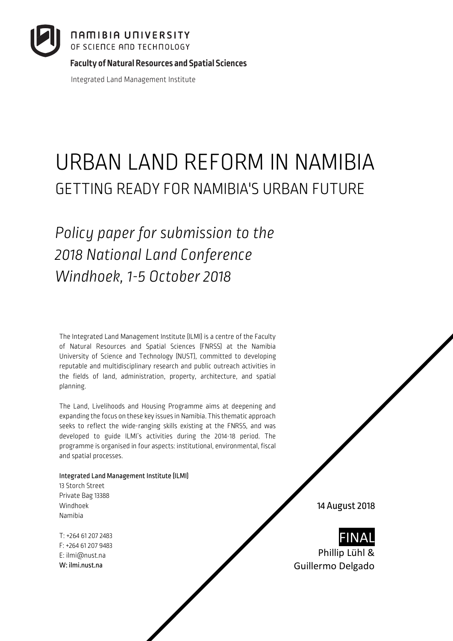**Faculty of Natural Resources and Spatial Sciences**

Integrated Land Management Institute

# URBAN LAND REFORM IN NAMIBIA GETTING READY FOR NAMIBIA'S URBAN FUTURE

*Policy paper for submission to the 2018 National Land Conference Windhoek, 1-5 October 2018*

The Integrated Land Management Institute (ILMI) is a centre of the Faculty of Natural Resources and Spatial Sciences (FNRSS) at the Namibia University of Science and Technology (NUST), committed to developing reputable and multidisciplinary research and public outreach activities in the fields of land, administration, property, architecture, and spatial planning.

The Land, Livelihoods and Housing Programme aims at deepening and expanding the focus on these key issues in Namibia. This thematic approach seeks to reflect the wide-ranging skills existing at the FNRSS, and was developed to guide ILMI's activities during the 2014-18 period. The programme is organised in four aspects: institutional, environmental, fiscal and spatial processes.

#### Integrated Land Management Institute (ILMI)

13 Storch Street Private Bag 13388 Windhoek Namibia

T: +264 61 207 2483 F: +264 61 207 9483 E: ilmi@nust.na W: ilmi.nust.na

14 August 2018



Phillip Lühl & Guillermo Delgado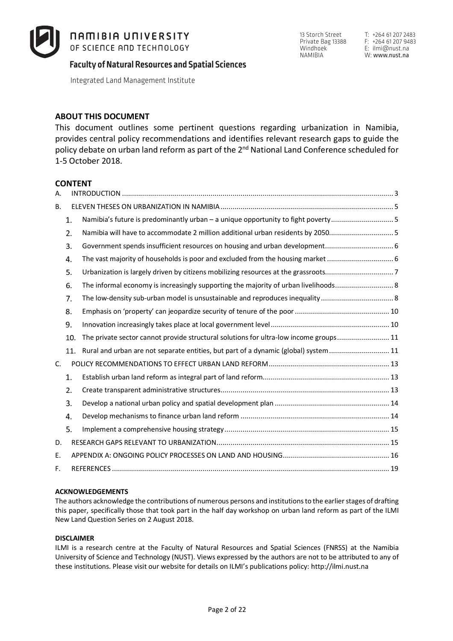

13 Storch Street Private Bag 13388 Windhoek NAMIBIA

**Faculty of Natural Resources and Spatial Sciences**

Integrated Land Management Institute

#### **ABOUT THIS DOCUMENT**

This document outlines some pertinent questions regarding urbanization in Namibia, provides central policy recommendations and identifies relevant research gaps to guide the policy debate on urban land reform as part of the 2<sup>nd</sup> National Land Conference scheduled for 1-5 October 2018.

#### **CONTENT**

| А. |     |                                                                                       |  |
|----|-----|---------------------------------------------------------------------------------------|--|
| В. |     |                                                                                       |  |
|    | 1.  | Namibia's future is predominantly urban - a unique opportunity to fight poverty       |  |
|    | 2.  | Namibia will have to accommodate 2 million additional urban residents by 2050 5       |  |
|    | 3.  | Government spends insufficient resources on housing and urban development 6           |  |
|    | 4.  |                                                                                       |  |
|    | 5.  |                                                                                       |  |
|    | 6.  |                                                                                       |  |
|    | 7.  | The low-density sub-urban model is unsustainable and reproduces inequality  8         |  |
|    | 8.  |                                                                                       |  |
|    | 9.  |                                                                                       |  |
|    | 10. | The private sector cannot provide structural solutions for ultra-low income groups 11 |  |
|    | 11. | Rural and urban are not separate entities, but part of a dynamic (global) system 11   |  |
| C. |     |                                                                                       |  |
|    | 1.  |                                                                                       |  |
|    | 2.  |                                                                                       |  |
|    | 3.  |                                                                                       |  |
|    | 4.  |                                                                                       |  |
|    | 5.  |                                                                                       |  |
| D. |     |                                                                                       |  |
| Ε. |     |                                                                                       |  |
| F. |     |                                                                                       |  |

#### **ACKNOWLEDGEMENTS**

The authors acknowledge the contributions of numerous persons and institutions to the earlier stages of drafting this paper, specifically those that took part in the half day workshop on urban land reform as part of the ILMI New Land Question Series on 2 August 2018.

#### **DISCLAIMER**

ILMI is a research centre at the Faculty of Natural Resources and Spatial Sciences (FNRSS) at the Namibia University of Science and Technology (NUST). Views expressed by the authors are not to be attributed to any of these institutions. Please visit our website for details on ILMI's publications policy: http://ilmi.nust.na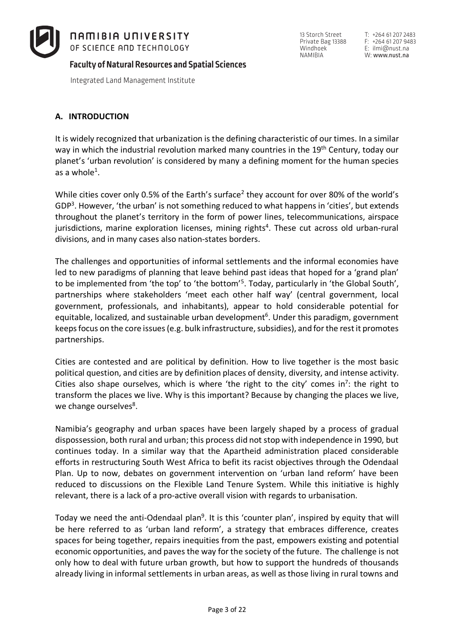

Integrated Land Management Institute

# **A. INTRODUCTION**

It is widely recognized that urbanization is the defining characteristic of our times. In a similar way in which the industrial revolution marked many countries in the 19<sup>th</sup> Century, today our planet's 'urban revolution' is considered by many a defining moment for the human species as a whole<sup>1</sup>.

While cities cover only 0.5% of the Earth's surface<sup>2</sup> they account for over 80% of the world's GDP<sup>3</sup>. However, 'the urban' is not something reduced to what happens in 'cities', but extends throughout the planet's territory in the form of power lines, telecommunications, airspace jurisdictions, marine exploration licenses, mining rights<sup>4</sup>. These cut across old urban-rural divisions, and in many cases also nation-states borders.

The challenges and opportunities of informal settlements and the informal economies have led to new paradigms of planning that leave behind past ideas that hoped for a 'grand plan' to be implemented from 'the top' to 'the bottom'5. Today, particularly in 'the Global South', partnerships where stakeholders 'meet each other half way' (central government, local government, professionals, and inhabitants), appear to hold considerable potential for equitable, localized, and sustainable urban development<sup>6</sup>. Under this paradigm, government keeps focus on the core issues (e.g. bulk infrastructure, subsidies), and for the rest it promotes partnerships.

Cities are contested and are political by definition. How to live together is the most basic political question, and cities are by definition places of density, diversity, and intense activity. Cities also shape ourselves, which is where 'the right to the city' comes in<sup>7</sup>: the right to transform the places we live. Why is this important? Because by changing the places we live, we change ourselves<sup>8</sup>.

Namibia's geography and urban spaces have been largely shaped by a process of gradual dispossession, both rural and urban; this process did not stop with independence in 1990, but continues today. In a similar way that the Apartheid administration placed considerable efforts in restructuring South West Africa to befit its racist objectives through the Odendaal Plan. Up to now, debates on government intervention on 'urban land reform' have been reduced to discussions on the Flexible Land Tenure System. While this initiative is highly relevant, there is a lack of a pro-active overall vision with regards to urbanisation.

Today we need the anti-Odendaal plan<sup>9</sup>. It is this 'counter plan', inspired by equity that will be here referred to as 'urban land reform', a strategy that embraces difference, creates spaces for being together, repairs inequities from the past, empowers existing and potential economic opportunities, and paves the way for the society of the future. The challenge is not only how to deal with future urban growth, but how to support the hundreds of thousands already living in informal settlements in urban areas, as well as those living in rural towns and

13 Storch Street Private Bag 13388 Windhoek<sup>-</sup> NAMIBIA

T: +264 61 207 2483 F: +264 61 207 9483 E: ilmi@nust.na W: www.nust.na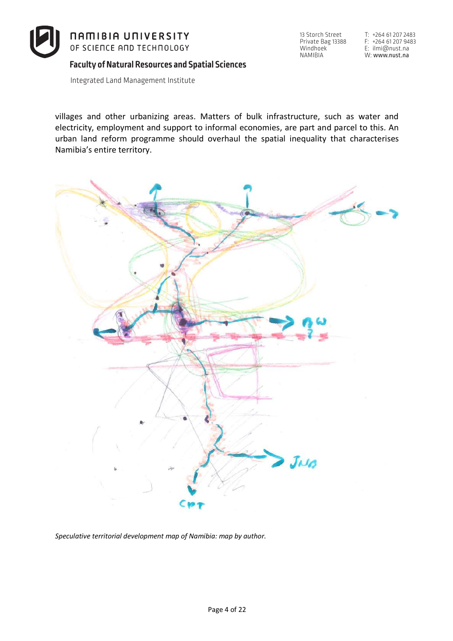

Integrated Land Management Institute

villages and other urbanizing areas. Matters of bulk infrastructure, such as water and electricity, employment and support to informal economies, are part and parcel to this. An urban land reform programme should overhaul the spatial inequality that characterises Namibia's entire territory.



*Speculative territorial development map of Namibia: map by author.* 

T: +264 61 207 2483 F: +264 61 207 9483 E: ilmi@nust.na W: www.nust.na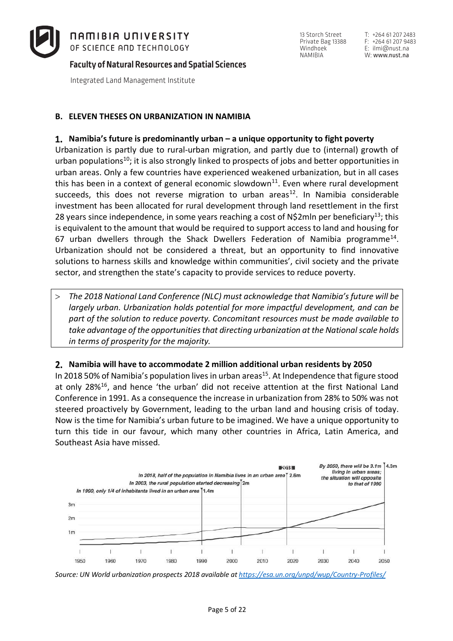

Integrated Land Management Institute

#### **B. ELEVEN THESES ON URBANIZATION IN NAMIBIA**

#### **Namibia's future is predominantly urban – a unique opportunity to fight poverty**

Urbanization is partly due to rural-urban migration, and partly due to (internal) growth of urban populations<sup>10</sup>; it is also strongly linked to prospects of jobs and better opportunities in urban areas. Only a few countries have experienced weakened urbanization, but in all cases this has been in a context of general economic slowdown $11$ . Even where rural development succeeds, this does not reverse migration to urban areas<sup>12</sup>. In Namibia considerable investment has been allocated for rural development through land resettlement in the first 28 years since independence, in some years reaching a cost of N\$2mln per beneficiary<sup>13</sup>; this is equivalent to the amount that would be required to support access to land and housing for 67 urban dwellers through the Shack Dwellers Federation of Namibia programme<sup>14</sup>. Urbanization should not be considered a threat, but an opportunity to find innovative solutions to harness skills and knowledge within communities', civil society and the private sector, and strengthen the state's capacity to provide services to reduce poverty.

> *The 2018 National Land Conference (NLC) must acknowledge that Namibia's future will be largely urban. Urbanization holds potential for more impactful development, and can be part of the solution to reduce poverty. Concomitant resources must be made available to take advantage of the opportunities that directing urbanization at the National scale holds in terms of prosperity for the majority.*

#### **Namibia will have to accommodate 2 million additional urban residents by 2050**

In 2018 50% of Namibia's population lives in urban areas<sup>15</sup>. At Independence that figure stood at only 28%<sup>16</sup>, and hence 'the urban' did not receive attention at the first National Land Conference in 1991. As a consequence the increase in urbanization from 28% to 50% was not steered proactively by Government, leading to the urban land and housing crisis of today. Now is the time for Namibia's urban future to be imagined. We have a unique opportunity to turn this tide in our favour, which many other countries in Africa, Latin America, and Southeast Asia have missed.



*Source: UN World urbanization prospects 2018 available at https://esa.un.org/unpd/wup/Country-Profiles/*

13 Storch Street Private Bag 13388 Windhoek NAMIBIA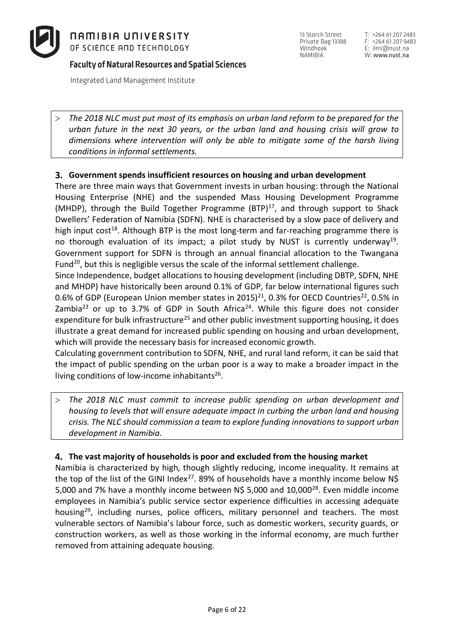

Integrated Land Management Institute

T: +264 61 207 2483 F: +264 61 207 9483 E: ilmi@nust.na W: www.nust.na

> *The 2018 NLC must put most of its emphasis on urban land reform to be prepared for the urban future in the next 30 years, or the urban land and housing crisis will grow to dimensions where intervention will only be able to mitigate some of the harsh living conditions in informal settlements.*

# **Government spends insufficient resources on housing and urban development**

There are three main ways that Government invests in urban housing: through the National Housing Enterprise (NHE) and the suspended Mass Housing Development Programme (MHDP), through the Build Together Programme  $(BTP)^{17}$ , and through support to Shack Dwellers' Federation of Namibia (SDFN). NHE is characterised by a slow pace of delivery and high input cost<sup>18</sup>. Although BTP is the most long-term and far-reaching programme there is no thorough evaluation of its impact; a pilot study by NUST is currently underway<sup>19</sup>. Government support for SDFN is through an annual financial allocation to the Twangana Fund<sup>20</sup>, but this is negligible versus the scale of the informal settlement challenge.

Since Independence, budget allocations to housing development (including DBTP, SDFN, NHE and MHDP) have historically been around 0.1% of GDP, far below international figures such 0.6% of GDP (European Union member states in 2015)<sup>21</sup>, 0.3% for OECD Countries<sup>22</sup>, 0.5% in Zambia<sup>23</sup> or up to 3.7% of GDP in South Africa<sup>24</sup>. While this figure does not consider expenditure for bulk infrastructure<sup>25</sup> and other public investment supporting housing, it does illustrate a great demand for increased public spending on housing and urban development, which will provide the necessary basis for increased economic growth.

Calculating government contribution to SDFN, NHE, and rural land reform, it can be said that the impact of public spending on the urban poor is a way to make a broader impact in the living conditions of low-income inhabitants<sup>26</sup>.

> *The 2018 NLC must commit to increase public spending on urban development and housing to levels that will ensure adequate impact in curbing the urban land and housing crisis. The NLC should commission a team to explore funding innovationsto support urban development in Namibia.* 

### **The vast majority of households is poor and excluded from the housing market**

Namibia is characterized by high, though slightly reducing, income inequality. It remains at the top of the list of the GINI Index<sup>27</sup>. 89% of households have a monthly income below  $N\$ 5,000 and 7% have a monthly income between N\$ 5,000 and 10,000<sup>28</sup>. Even middle income employees in Namibia's public service sector experience difficulties in accessing adequate housing<sup>29</sup>, including nurses, police officers, military personnel and teachers. The most vulnerable sectors of Namibia's labour force, such as domestic workers, security guards, or construction workers, as well as those working in the informal economy, are much further removed from attaining adequate housing.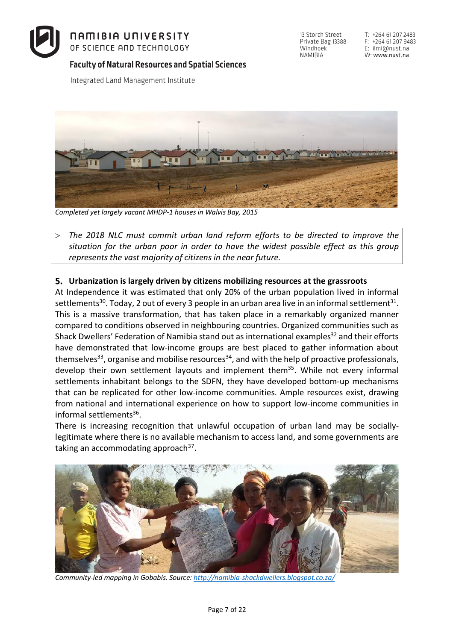

Private Bag 13388 Windhoek<sup>1</sup> NAMIBIA

13 Storch Street

Integrated Land Management Institute



*Completed yet largely vacant MHDP-1 houses in Walvis Bay, 2015*

> *The 2018 NLC must commit urban land reform efforts to be directed to improve the situation for the urban poor in order to have the widest possible effect as this group represents the vast majority of citizens in the near future.*

### **Urbanization is largely driven by citizens mobilizing resources at the grassroots**

At Independence it was estimated that only 20% of the urban population lived in informal settlements<sup>30</sup>. Today, 2 out of every 3 people in an urban area live in an informal settlement<sup>31</sup>. This is a massive transformation, that has taken place in a remarkably organized manner compared to conditions observed in neighbouring countries. Organized communities such as Shack Dwellers' Federation of Namibia stand out as international examples<sup>32</sup> and their efforts have demonstrated that low-income groups are best placed to gather information about themselves<sup>33</sup>, organise and mobilise resources<sup>34</sup>, and with the help of proactive professionals, develop their own settlement layouts and implement them<sup>35</sup>. While not every informal settlements inhabitant belongs to the SDFN, they have developed bottom-up mechanisms that can be replicated for other low-income communities. Ample resources exist, drawing from national and international experience on how to support low-income communities in informal settlements36.

There is increasing recognition that unlawful occupation of urban land may be sociallylegitimate where there is no available mechanism to access land, and some governments are taking an accommodating approach  $37$ .



*Community-led mapping in Gobabis. Source: http://namibia-shackdwellers.blogspot.co.za/*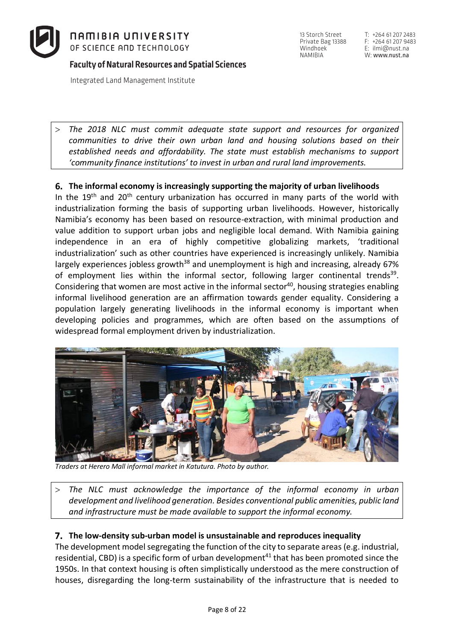

Integrated Land Management Institute

T: +264 61 207 2483 F: +264 61 207 9483 E: ilmi@nust.na W: www.nust.na

> *The 2018 NLC must commit adequate state support and resources for organized communities to drive their own urban land and housing solutions based on their established needs and affordability. The state must establish mechanisms to support 'community finance institutions' to invest in urban and rural land improvements.* 

# **The informal economy is increasingly supporting the majority of urban livelihoods**

In the  $19<sup>th</sup>$  and  $20<sup>th</sup>$  century urbanization has occurred in many parts of the world with industrialization forming the basis of supporting urban livelihoods. However, historically Namibia's economy has been based on resource-extraction, with minimal production and value addition to support urban jobs and negligible local demand. With Namibia gaining independence in an era of highly competitive globalizing markets, 'traditional industrialization' such as other countries have experienced is increasingly unlikely. Namibia largely experiences jobless growth<sup>38</sup> and unemployment is high and increasing, already 67% of employment lies within the informal sector, following larger continental trends<sup>39</sup>. Considering that women are most active in the informal sector<sup>40</sup>, housing strategies enabling informal livelihood generation are an affirmation towards gender equality. Considering a population largely generating livelihoods in the informal economy is important when developing policies and programmes, which are often based on the assumptions of widespread formal employment driven by industrialization.



*Traders at Herero Mall informal market in Katutura. Photo by author.*

> *The NLC must acknowledge the importance of the informal economy in urban development and livelihood generation. Besides conventional public amenities, public land and infrastructure must be made available to support the informal economy.*

### **The low-density sub-urban model is unsustainable and reproduces inequality**

The development model segregating the function of the city to separate areas (e.g. industrial, residential, CBD) is a specific form of urban development<sup>41</sup> that has been promoted since the 1950s. In that context housing is often simplistically understood as the mere construction of houses, disregarding the long-term sustainability of the infrastructure that is needed to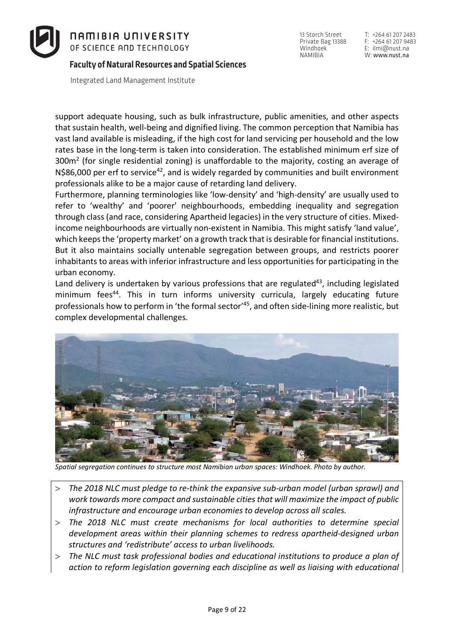

Integrated Land Management Institute

support adequate housing, such as bulk infrastructure, public amenities, and other aspects that sustain health, well-being and dignified living. The common perception that Namibia has vast land available is misleading, if the high cost for land servicing per household and the low rates base in the long-term is taken into consideration. The established minimum erf size of  $300m<sup>2</sup>$  (for single residential zoning) is unaffordable to the majority, costing an average of  $N$86,000$  per erf to service<sup>42</sup>, and is widely regarded by communities and built environment professionals alike to be a major cause of retarding land delivery.

Furthermore, planning terminologies like 'low-density' and 'high-density' are usually used to refer to 'wealthy' and 'poorer' neighbourhoods, embedding inequality and segregation through class (and race, considering Apartheid legacies) in the very structure of cities. Mixedincome neighbourhoods are virtually non-existent in Namibia. This might satisfy 'land value', which keeps the 'property market' on a growth track that is desirable for financial institutions. But it also maintains socially untenable segregation between groups, and restricts poorer inhabitants to areas with inferior infrastructure and less opportunities for participating in the urban economy.

Land delivery is undertaken by various professions that are regulated<sup>43</sup>, including legislated minimum fees<sup>44</sup>. This in turn informs university curricula, largely educating future professionals how to perform in 'the formal sector'<sup>45</sup>, and often side-lining more realistic, but complex developmental challenges.



*Spatial segregation continues to structure most Namibian urban spaces: Windhoek. Photo by author.*

- > *The 2018 NLC must pledge to re-think the expansive sub-urban model (urban sprawl) and work towards more compact and sustainable cities that will maximize the impact of public infrastructure and encourage urban economies to develop across all scales.*
- > *The 2018 NLC must create mechanisms for local authorities to determine special development areas within their planning schemes to redress apartheid-designed urban structures and 'redistribute' access to urban livelihoods.*
- > *The NLC must task professional bodies and educational institutions to produce a plan of action to reform legislation governing each discipline as well as liaising with educational*

13 Storch Street Private Bag 13388 Windhoek NAMIBIA

T: +264 61 207 2483 F: +264 61 207 9483 E: ilmi@nust.na W: www.nust.na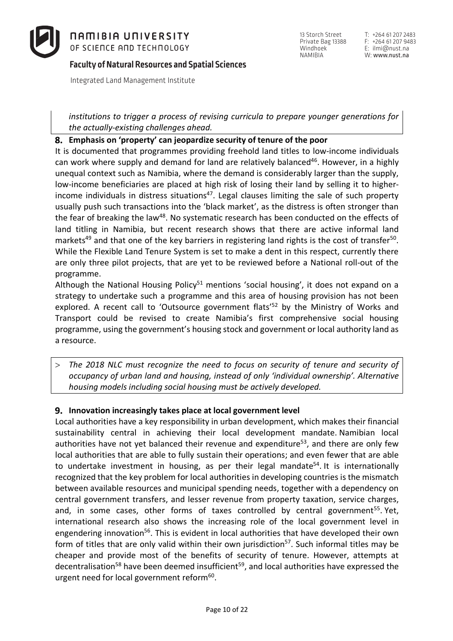

13 Storch Street Private Bag 13388 Windhoek<sup>1</sup> NAMIBIA

T: +264 61 207 2483 F: +264 61 207 9483 E: ilmi@nust.na W: www.nust.na

Integrated Land Management Institute

*institutions to trigger a process of revising curricula to prepare younger generations for the actually-existing challenges ahead.*

#### **Emphasis on 'property' can jeopardize security of tenure of the poor**

It is documented that programmes providing freehold land titles to low-income individuals can work where supply and demand for land are relatively balanced<sup>46</sup>. However, in a highly unequal context such as Namibia, where the demand is considerably larger than the supply, low-income beneficiaries are placed at high risk of losing their land by selling it to higherincome individuals in distress situations<sup>47</sup>. Legal clauses limiting the sale of such property usually push such transactions into the 'black market', as the distress is often stronger than the fear of breaking the law<sup>48</sup>. No systematic research has been conducted on the effects of land titling in Namibia, but recent research shows that there are active informal land markets<sup>49</sup> and that one of the key barriers in registering land rights is the cost of transfer<sup>50</sup>. While the Flexible Land Tenure System is set to make a dent in this respect, currently there are only three pilot projects, that are yet to be reviewed before a National roll-out of the programme.

Although the National Housing Policy<sup>51</sup> mentions 'social housing', it does not expand on a strategy to undertake such a programme and this area of housing provision has not been explored. A recent call to 'Outsource government flats'<sup>52</sup> by the Ministry of Works and Transport could be revised to create Namibia's first comprehensive social housing programme, using the government's housing stock and government or local authority land as a resource.

> *The 2018 NLC must recognize the need to focus on security of tenure and security of occupancy of urban land and housing, instead of only 'individual ownership'. Alternative housing models including social housing must be actively developed.*

### **Innovation increasingly takes place at local government level**

Local authorities have a key responsibility in urban development, which makes their financial sustainability central in achieving their local development mandate. Namibian local authorities have not yet balanced their revenue and expenditure<sup>53</sup>, and there are only few local authorities that are able to fully sustain their operations; and even fewer that are able to undertake investment in housing, as per their legal mandate<sup>54</sup>. It is internationally recognized that the key problem for local authorities in developing countries is the mismatch between available resources and municipal spending needs, together with a dependency on central government transfers, and lesser revenue from property taxation, service charges, and, in some cases, other forms of taxes controlled by central government<sup>55</sup>. Yet, international research also shows the increasing role of the local government level in engendering innovation<sup>56</sup>. This is evident in local authorities that have developed their own form of titles that are only valid within their own jurisdiction<sup>57</sup>. Such informal titles may be cheaper and provide most of the benefits of security of tenure. However, attempts at decentralisation<sup>58</sup> have been deemed insufficient<sup>59</sup>, and local authorities have expressed the urgent need for local government reform $60$ .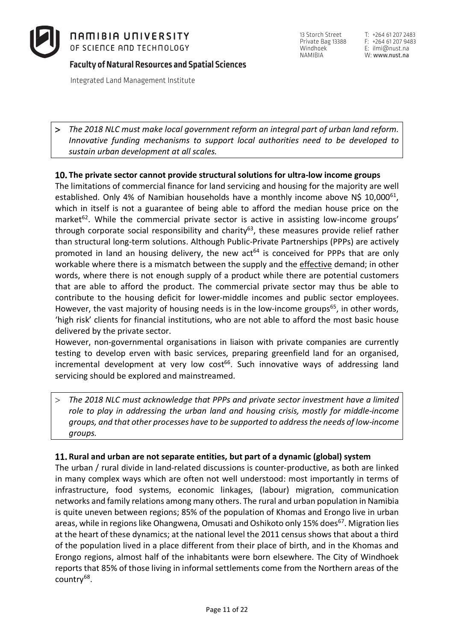

Integrated Land Management Institute

T: +264 61 207 2483 F: +264 61 207 9483 E: ilmi@nust.na W: www.nust.na

> *The 2018 NLC must make local government reform an integral part of urban land reform. Innovative funding mechanisms to support local authorities need to be developed to sustain urban development at all scales.*

# **The private sector cannot provide structural solutions for ultra-low income groups**

The limitations of commercial finance for land servicing and housing for the majority are well established. Only 4% of Namibian households have a monthly income above N\$ 10,000 $^{61}$ . which in itself is not a guarantee of being able to afford the median house price on the market<sup>62</sup>. While the commercial private sector is active in assisting low-income groups' through corporate social responsibility and charity<sup>63</sup>, these measures provide relief rather than structural long-term solutions. Although Public-Private Partnerships (PPPs) are actively promoted in land an housing delivery, the new  $act<sup>64</sup>$  is conceived for PPPs that are only workable where there is a mismatch between the supply and the effective demand; in other words, where there is not enough supply of a product while there are potential customers that are able to afford the product. The commercial private sector may thus be able to contribute to the housing deficit for lower-middle incomes and public sector employees. However, the vast majority of housing needs is in the low-income groups<sup>65</sup>, in other words, 'high risk' clients for financial institutions, who are not able to afford the most basic house delivered by the private sector.

However, non-governmental organisations in liaison with private companies are currently testing to develop erven with basic services, preparing greenfield land for an organised, incremental development at very low cost<sup>66</sup>. Such innovative ways of addressing land servicing should be explored and mainstreamed.

> *The 2018 NLC must acknowledge that PPPs and private sector investment have a limited role to play in addressing the urban land and housing crisis, mostly for middle-income groups, and that other processes have to be supported to address the needs of low-income groups.*

# **Rural and urban are not separate entities, but part of a dynamic (global) system**

The urban / rural divide in land-related discussions is counter-productive, as both are linked in many complex ways which are often not well understood: most importantly in terms of infrastructure, food systems, economic linkages, (labour) migration, communication networks and family relations among many others. The rural and urban population in Namibia is quite uneven between regions; 85% of the population of Khomas and Erongo live in urban areas, while in regions like Ohangwena, Omusati and Oshikoto only 15% does<sup>67</sup>. Migration lies at the heart of these dynamics; at the national level the 2011 census shows that about a third of the population lived in a place different from their place of birth, and in the Khomas and Erongo regions, almost half of the inhabitants were born elsewhere. The City of Windhoek reports that 85% of those living in informal settlements come from the Northern areas of the country<sup>68</sup>.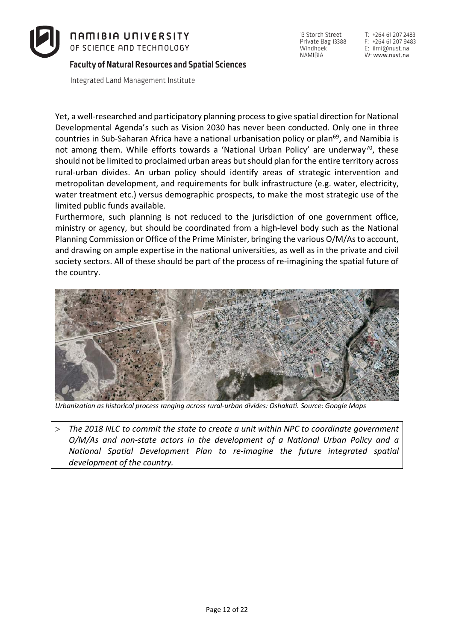

Integrated Land Management Institute

Yet, a well-researched and participatory planning processto give spatial direction for National Developmental Agenda's such as Vision 2030 has never been conducted. Only one in three countries in Sub-Saharan Africa have a national urbanisation policy or plan<sup>69</sup>, and Namibia is not among them. While efforts towards a 'National Urban Policy' are underway<sup>70</sup>, these should not be limited to proclaimed urban areas but should plan forthe entire territory across rural-urban divides. An urban policy should identify areas of strategic intervention and metropolitan development, and requirements for bulk infrastructure (e.g. water, electricity, water treatment etc.) versus demographic prospects, to make the most strategic use of the limited public funds available.

Furthermore, such planning is not reduced to the jurisdiction of one government office, ministry or agency, but should be coordinated from a high-level body such as the National Planning Commission or Office of the Prime Minister, bringing the various O/M/As to account, and drawing on ample expertise in the national universities, as well as in the private and civil society sectors. All of these should be part of the process of re-imagining the spatial future of the country.



*Urbanization as historical process ranging across rural-urban divides: Oshakati. Source: Google Maps*

> *The 2018 NLC to commit the state to create a unit within NPC to coordinate government O/M/As and non-state actors in the development of a National Urban Policy and a National Spatial Development Plan to re-imagine the future integrated spatial development of the country.*

13 Storch Street Private Bag 13388 Windhoek<sup>1</sup> NAMIBIA

T: +264 61 207 2483 F: +264 61 207 9483 E: ilmi@nust.na W: www.nust.na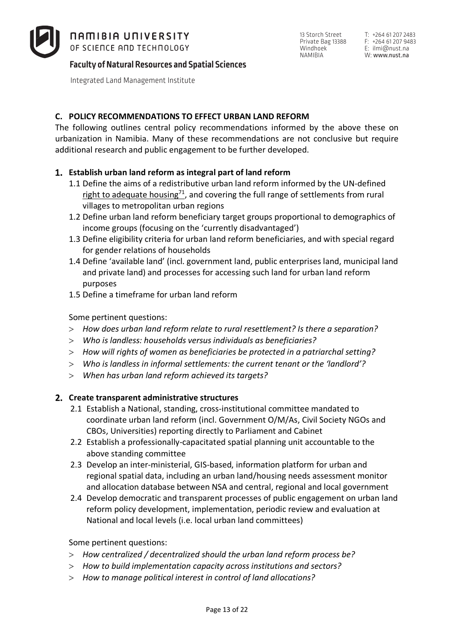

Integrated Land Management Institute

# **C. POLICY RECOMMENDATIONS TO EFFECT URBAN LAND REFORM**

The following outlines central policy recommendations informed by the above these on urbanization in Namibia. Many of these recommendations are not conclusive but require additional research and public engagement to be further developed.

# **Establish urban land reform as integral part of land reform**

- 1.1 Define the aims of a redistributive urban land reform informed by the UN-defined right to adequate housing $^{71}$ , and covering the full range of settlements from rural villages to metropolitan urban regions
- 1.2 Define urban land reform beneficiary target groups proportional to demographics of income groups (focusing on the 'currently disadvantaged')
- 1.3 Define eligibility criteria for urban land reform beneficiaries, and with special regard for gender relations of households
- 1.4 Define 'available land' (incl. government land, public enterprises land, municipal land and private land) and processes for accessing such land for urban land reform purposes
- 1.5 Define a timeframe for urban land reform

# Some pertinent questions:

- > *How does urban land reform relate to rural resettlement? Is there a separation?*
- > *Who is landless: households versus individuals as beneficiaries?*
- > *How will rights of women as beneficiaries be protected in a patriarchal setting?*
- > *Who is landless in informal settlements: the current tenant or the 'landlord'?*
- > *When has urban land reform achieved its targets?*

### **Create transparent administrative structures**

- 2.1 Establish a National, standing, cross-institutional committee mandated to coordinate urban land reform (incl. Government O/M/As, Civil Society NGOs and CBOs, Universities) reporting directly to Parliament and Cabinet
- 2.2 Establish a professionally-capacitated spatial planning unit accountable to the above standing committee
- 2.3 Develop an inter-ministerial, GIS-based, information platform for urban and regional spatial data, including an urban land/housing needs assessment monitor and allocation database between NSA and central, regional and local government
- 2.4 Develop democratic and transparent processes of public engagement on urban land reform policy development, implementation, periodic review and evaluation at National and local levels (i.e. local urban land committees)

### Some pertinent questions:

- > *How centralized / decentralized should the urban land reform process be?*
- > *How to build implementation capacity across institutions and sectors?*
- > *How to manage political interest in control of land allocations?*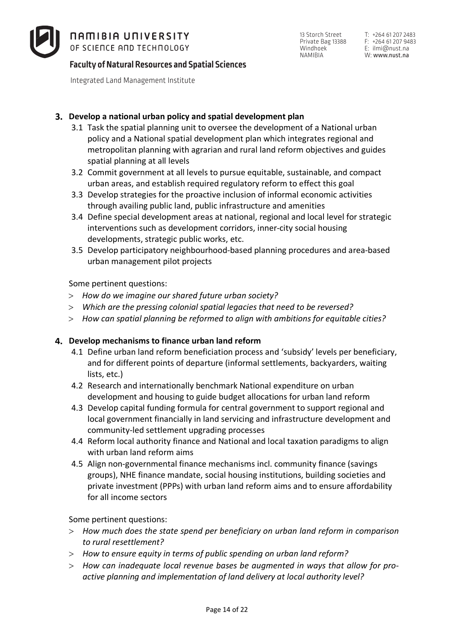

13 Storch Street Private Bag 13388 Windhoek NAMIBIA

T: +264 61 207 2483 F: +264 61 207 9483 E: ilmi@nust.na W: www.nust.na

# **Faculty of Natural Resources and Spatial Sciences**

Integrated Land Management Institute

# **Develop a national urban policy and spatial development plan**

- 3.1 Task the spatial planning unit to oversee the development of a National urban policy and a National spatial development plan which integrates regional and metropolitan planning with agrarian and rural land reform objectives and guides spatial planning at all levels
- 3.2 Commit government at all levels to pursue equitable, sustainable, and compact urban areas, and establish required regulatory reform to effect this goal
- 3.3 Develop strategies for the proactive inclusion of informal economic activities through availing public land, public infrastructure and amenities
- 3.4 Define special development areas at national, regional and local level for strategic interventions such as development corridors, inner-city social housing developments, strategic public works, etc.
- 3.5 Develop participatory neighbourhood-based planning procedures and area-based urban management pilot projects

Some pertinent questions:

- > *How do we imagine our shared future urban society?*
- > *Which are the pressing colonial spatial legacies that need to be reversed?*
- > *How can spatial planning be reformed to align with ambitions for equitable cities?*

### **Develop mechanisms to finance urban land reform**

- 4.1 Define urban land reform beneficiation process and 'subsidy' levels per beneficiary, and for different points of departure (informal settlements, backyarders, waiting lists, etc.)
- 4.2 Research and internationally benchmark National expenditure on urban development and housing to guide budget allocations for urban land reform
- 4.3 Develop capital funding formula for central government to support regional and local government financially in land servicing and infrastructure development and community-led settlement upgrading processes
- 4.4 Reform local authority finance and National and local taxation paradigms to align with urban land reform aims
- 4.5 Align non-governmental finance mechanisms incl. community finance (savings groups), NHE finance mandate, social housing institutions, building societies and private investment (PPPs) with urban land reform aims and to ensure affordability for all income sectors

Some pertinent questions:

- > *How much does the state spend per beneficiary on urban land reform in comparison to rural resettlement?*
- > *How to ensure equity in terms of public spending on urban land reform?*
- > *How can inadequate local revenue bases be augmented in ways that allow for proactive planning and implementation of land delivery at local authority level?*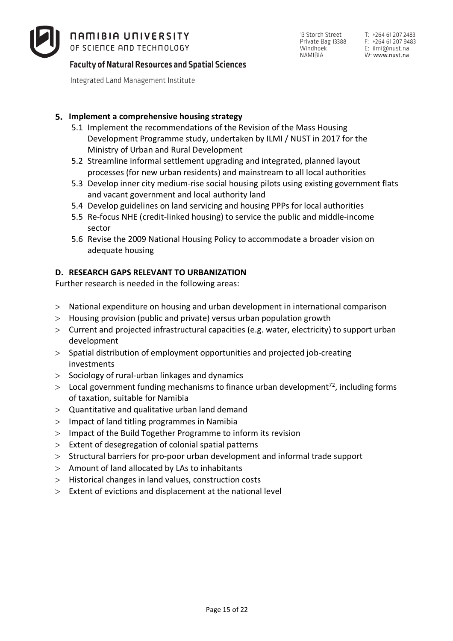

**Faculty of Natural Resources and Spatial Sciences**

Integrated Land Management Institute

T: +264 61 207 2483 F: +264 61 207 9483 E: ilmi@nust.na W: www.nust.na

# **Implement a comprehensive housing strategy**

- 5.1 Implement the recommendations of the Revision of the Mass Housing Development Programme study, undertaken by ILMI / NUST in 2017 for the Ministry of Urban and Rural Development
- 5.2 Streamline informal settlement upgrading and integrated, planned layout processes (for new urban residents) and mainstream to all local authorities
- 5.3 Develop inner city medium-rise social housing pilots using existing government flats and vacant government and local authority land
- 5.4 Develop guidelines on land servicing and housing PPPs for local authorities
- 5.5 Re-focus NHE (credit-linked housing) to service the public and middle-income sector
- 5.6 Revise the 2009 National Housing Policy to accommodate a broader vision on adequate housing

# **D. RESEARCH GAPS RELEVANT TO URBANIZATION**

Further research is needed in the following areas:

- > National expenditure on housing and urban development in international comparison
- > Housing provision (public and private) versus urban population growth
- > Current and projected infrastructural capacities (e.g. water, electricity) to support urban development
- > Spatial distribution of employment opportunities and projected job-creating investments
- > Sociology of rural-urban linkages and dynamics
- $>$  Local government funding mechanisms to finance urban development<sup>72</sup>, including forms of taxation, suitable for Namibia
- > Quantitative and qualitative urban land demand
- > Impact of land titling programmes in Namibia
- > Impact of the Build Together Programme to inform its revision
- > Extent of desegregation of colonial spatial patterns
- > Structural barriers for pro-poor urban development and informal trade support
- > Amount of land allocated by LAs to inhabitants
- > Historical changes in land values, construction costs
- > Extent of evictions and displacement at the national level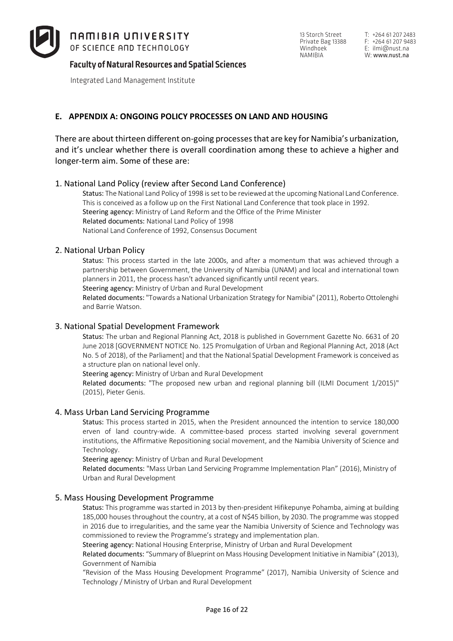

13 Storch Street Private Bag 13388 Windhoek<sup>-</sup> NAMIBIA

T: +264 61 207 2483 F: +264 61 207 9483 E: ilmi@nust.na W: www.nust.na

# **Faculty of Natural Resources and Spatial Sciences**

Integrated Land Management Institute

### **E. APPENDIX A: ONGOING POLICY PROCESSES ON LAND AND HOUSING**

There are about thirteen different on-going processes that are key for Namibia's urbanization, and it's unclear whether there is overall coordination among these to achieve a higher and longer-term aim. Some of these are:

#### 1. National Land Policy (review after Second Land Conference)

Status: The National Land Policy of 1998 is set to be reviewed at the upcoming National Land Conference. This is conceived as a follow up on the First National Land Conference that took place in 1992. Steering agency: Ministry of Land Reform and the Office of the Prime Minister Related documents: National Land Policy of 1998 National Land Conference of 1992, Consensus Document

#### 2. National Urban Policy

Status: This process started in the late 2000s, and after a momentum that was achieved through a partnership between Government, the University of Namibia (UNAM) and local and international town planners in 2011, the process hasn't advanced significantly until recent years.

Steering agency: Ministry of Urban and Rural Development

Related documents: "Towards a National Urbanization Strategy for Namibia" (2011), Roberto Ottolenghi and Barrie Watson.

#### 3. National Spatial Development Framework

Status: The urban and Regional Planning Act, 2018 is published in Government Gazette No. 6631 of 20 June 2018 [GOVERNMENT NOTICE No. 125 Promulgation of Urban and Regional Planning Act, 2018 (Act No. 5 of 2018), of the Parliament] and that the National Spatial Development Framework is conceived as a structure plan on national level only.

Steering agency: Ministry of Urban and Rural Development

Related documents: "The proposed new urban and regional planning bill (ILMI Document 1/2015)" (2015), Pieter Genis.

#### 4. Mass Urban Land Servicing Programme

Status: This process started in 2015, when the President announced the intention to service 180,000 erven of land country-wide. A committee-based process started involving several government institutions, the Affirmative Repositioning social movement, and the Namibia University of Science and Technology.

Steering agency: Ministry of Urban and Rural Development

Related documents: "Mass Urban Land Servicing Programme Implementation Plan" (2016), Ministry of Urban and Rural Development

#### 5. Mass Housing Development Programme

Status: This programme was started in 2013 by then-president Hifikepunye Pohamba, aiming at building 185,000 houses throughout the country, at a cost of N\$45 billion, by 2030. The programme was stopped in 2016 due to irregularities, and the same year the Namibia University of Science and Technology was commissioned to review the Programme's strategy and implementation plan.

Steering agency: National Housing Enterprise, Ministry of Urban and Rural Development

Related documents: "Summary of Blueprint on Mass Housing Development Initiative in Namibia" (2013), Government of Namibia

"Revision of the Mass Housing Development Programme" (2017), Namibia University of Science and Technology / Ministry of Urban and Rural Development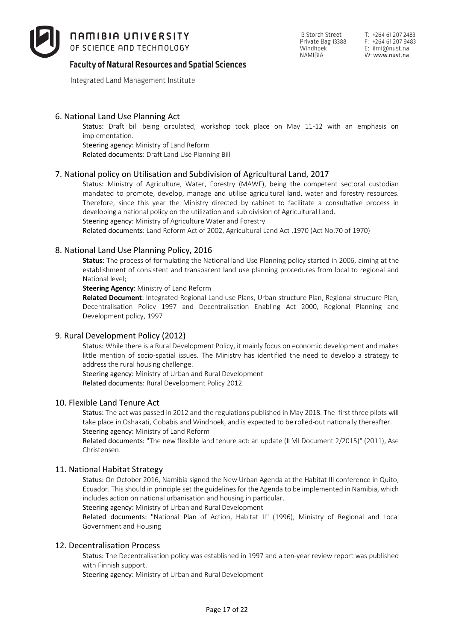

*NAMIBIA UNIVERSITY* 

OF SCIENCE AND TECHNOLOGY

Integrated Land Management Institute

Status: Draft bill being circulated, workshop took place on May 11-12 with an emphasis on implementation.

Steering agency: Ministry of Land Reform

Related documents: Draft Land Use Planning Bill

#### 7. National policy on Utilisation and Subdivision of Agricultural Land, 2017

Status: Ministry of Agriculture, Water, Forestry (MAWF), being the competent sectoral custodian mandated to promote, develop, manage and utilise agricultural land, water and forestry resources. Therefore, since this year the Ministry directed by cabinet to facilitate a consultative process in developing a national policy on the utilization and sub division of Agricultural Land.

Steering agency: Ministry of Agriculture Water and Forestry

Related documents: Land Reform Act of 2002, Agricultural Land Act .1970 (Act No.70 of 1970)

#### 8. National Land Use Planning Policy, 2016

**Status**: The process of formulating the National land Use Planning policy started in 2006, aiming at the establishment of consistent and transparent land use planning procedures from local to regional and National level;

**Steering Agency**: Ministry of Land Reform

**Related Document**: Integrated Regional Land use Plans, Urban structure Plan, Regional structure Plan, Decentralisation Policy 1997 and Decentralisation Enabling Act 2000, Regional Planning and Development policy, 1997

#### 9. Rural Development Policy (2012)

Status: While there is a Rural Development Policy, it mainly focus on economic development and makes little mention of socio-spatial issues. The Ministry has identified the need to develop a strategy to address the rural housing challenge.

Steering agency: Ministry of Urban and Rural Development Related documents: Rural Development Policy 2012.

#### 10. Flexible Land Tenure Act

Status: The act was passed in 2012 and the regulations published in May 2018. The first three pilots will take place in Oshakati, Gobabis and Windhoek, and is expected to be rolled-out nationally thereafter. Steering agency: Ministry of Land Reform

Related documents: "The new flexible land tenure act: an update (ILMI Document 2/2015)" (2011), Ase Christensen.

#### 11. National Habitat Strategy

Status: On October 2016, Namibia signed the New Urban Agenda at the Habitat III conference in Quito, Ecuador. This should in principle set the guidelines for the Agenda to be implemented in Namibia, which includes action on national urbanisation and housing in particular.

Steering agency: Ministry of Urban and Rural Development

Related documents: "National Plan of Action, Habitat II" (1996), Ministry of Regional and Local Government and Housing

#### 12. Decentralisation Process

Status: The Decentralisation policy was established in 1997 and a ten-year review report was published with Finnish support.

Steering agency: Ministry of Urban and Rural Development

13 Storch Street Private Bag 13388 Windhoek NAMIBIA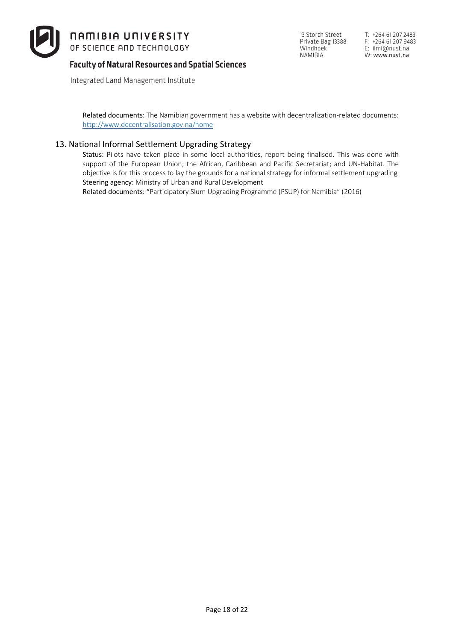

Integrated Land Management Institute

13 Storch Street Private Bag 13388 Windhoek NAMIBIA

Related documents: The Namibian government has a website with decentralization-related documents: http://www.decentralisation.gov.na/home

#### 13. National Informal Settlement Upgrading Strategy

Status: Pilots have taken place in some local authorities, report being finalised. This was done with support of the European Union; the African, Caribbean and Pacific Secretariat; and UN-Habitat. The objective is for this process to lay the grounds for a national strategy for informal settlement upgrading Steering agency: Ministry of Urban and Rural Development

Related documents: "Participatory Slum Upgrading Programme (PSUP) for Namibia" (2016)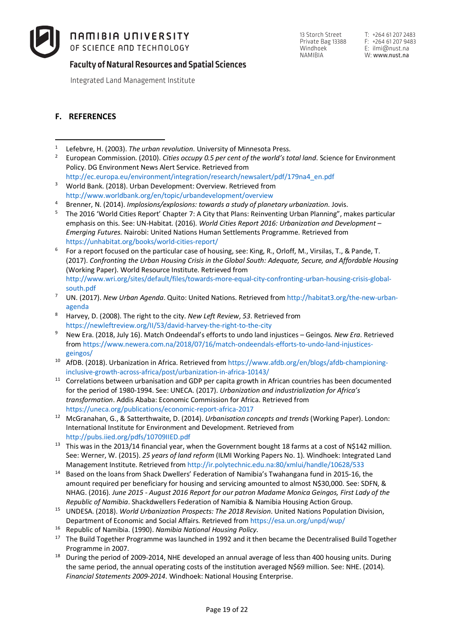

13 Storch Street Private Bag 13388 Windhoek<sup>1</sup> NAMIBIA

T: +264 61 207 2483 F: +264 61 207 9483 E: ilmi@nust.na W: www.nust.na

**Faculty of Natural Resources and Spatial Sciences**

Integrated Land Management Institute

#### **F. REFERENCES**

- <sup>1</sup> Lefebvre, H. (2003). *The urban revolution*. University of Minnesota Press.  $\overline{a}$
- <sup>2</sup> European Commission. (2010). *Cities occupy 0.5 per cent of the world's total land*. Science for Environment Policy. DG Environment News Alert Service. Retrieved from http://ec.europa.eu/environment/integration/research/newsalert/pdf/179na4\_en.pdf
- <sup>3</sup> World Bank. (2018). Urban Development: Overview. Retrieved from http://www.worldbank.org/en/topic/urbandevelopment/overview
- <sup>4</sup> Brenner, N. (2014). *Implosions/explosions: towards a study of planetary urbanization*. Jovis.
- <sup>5</sup> The 2016 'World Cities Report' Chapter 7: A City that Plans: Reinventing Urban Planning", makes particular emphasis on this. See: UN-Habitat. (2016). *World Cities Report 2016: Urbanization and Development – Emerging Futures.* Nairobi: United Nations Human Settlements Programme. Retrieved from
- https://unhabitat.org/books/world-cities-report/<br><sup>6</sup> For a report focused on the particular case of housing, see: King, R., Orloff, M., Virsilas, T., & Pande, T. (2017). *Confronting the Urban Housing Crisis in the Global South: Adequate, Secure, and Affordable Housing* (Working Paper). World Resource Institute. Retrieved from http://www.wri.org/sites/default/files/towards-more-equal-city-confronting-urban-housing-crisis-globalsouth.pdf
- <sup>7</sup> UN. (2017). *New Urban Agenda*. Quito: United Nations. Retrieved from http://habitat3.org/the-new-urbanagenda
- <sup>8</sup> Harvey, D. (2008). The right to the city. *New Left Review*, *53*. Retrieved from https://newleftreview.org/II/53/david-harvey-the-right-to-the-city
- <sup>9</sup> New Era. (2018, July 16). Match Ondeendal's efforts to undo land injustices Geingos. *New Era*. Retrieved from https://www.newera.com.na/2018/07/16/match-ondeendals-efforts-to-undo-land-injusticesgeingos/
- <sup>10</sup> AfDB. (2018). Urbanization in Africa. Retrieved from https://www.afdb.org/en/blogs/afdb-championinginclusive-growth-across-africa/post/urbanization-in-africa-10143/
- <sup>11</sup> Correlations between urbanisation and GDP per capita growth in African countries has been documented for the period of 1980-1994. See: UNECA. (2017). *Urbanization and industrialization for Africa's transformation*. Addis Ababa: Economic Commission for Africa. Retrieved from https://uneca.org/publications/economic-report-africa-2017
- <sup>12</sup> McGranahan, G., & Satterthwaite, D. (2014). *Urbanisation concepts and trends* (Working Paper). London: International Institute for Environment and Development. Retrieved from http://pubs.iied.org/pdfs/10709IIED.pdf
- <sup>13</sup> This was in the 2013/14 financial year, when the Government bought 18 farms at a cost of N\$142 million. See: Werner, W. (2015). *25 years of land reform* (ILMI Working Papers No. 1). Windhoek: Integrated Land Management Institute. Retrieved from http://ir.polytechnic.edu.na:80/xmlui/handle/10628/533
- <sup>14</sup> Based on the loans from Shack Dwellers' Federation of Namibia's Twahangana fund in 2015-16, the amount required per beneficiary for housing and servicing amounted to almost N\$30,000. See: SDFN, & NHAG. (2016). *June 2015 - August 2016 Report for our patron Madame Monica Geingos, First Lady of the Republic of Namibia*. Shackdwellers Federation of Namibia & Namibia Housing Action Group.
- <sup>15</sup> UNDESA. (2018). *World Urbanization Prospects: The 2018 Revision*. United Nations Population Division, Department of Economic and Social Affairs. Retrieved from https://esa.un.org/unpd/wup/
- <sup>16</sup> Republic of Namibia. (1990). *Namibia National Housing Policy*.
- <sup>17</sup> The Build Together Programme was launched in 1992 and it then became the Decentralised Build Together Programme in 2007.
- $18$  During the period of 2009-2014. NHE developed an annual average of less than 400 housing units. During the same period, the annual operating costs of the institution averaged N\$69 million. See: NHE. (2014). *Financial Statements 2009-2014*. Windhoek: National Housing Enterprise.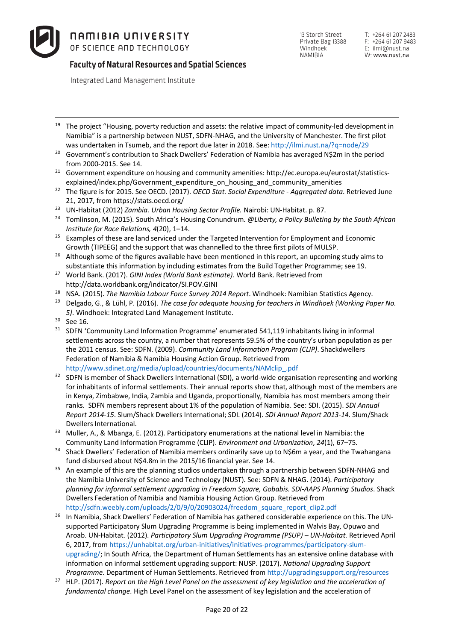# **Faculty of Natural Resources and Spatial Sciences**

Integrated Land Management Institute

- <sup>19</sup> The project "Housing, poverty reduction and assets: the relative impact of community-led development in Namibia" is a partnership between NUST, SDFN-NHAG, and the University of Manchester. The first pilot was undertaken in Tsumeb, and the report due later in 2018. See: http://ilmi.nust.na/?q=node/29
- <sup>20</sup> Government's contribution to Shack Dwellers' Federation of Namibia has averaged N\$2m in the period
- from 2000-2015. See 14. 21 Government expenditure on housing and community amenities: http://ec.europa.eu/eurostat/statisticsexplained/index.php/Government\_expenditure\_on\_housing\_and\_community\_amenities
- <sup>22</sup> The figure is for 2015. See OECD. (2017). *OECD Stat. Social Expenditure - Aggregated data*. Retrieved June 21, 2017, from https://stats.oecd.org/
- <sup>23</sup> UN-Habitat (2012) *Zambia. Urban Housing Sector Profile.* Nairobi: UN-Habitat. p. 87.
- <sup>24</sup> Tomlinson, M. (2015). South Africa's Housing Conundrum. *@Liberty, a Policy Bulleting by the South African Institute for Race Relations, 4*(20), 1–14.
- <sup>25</sup> Examples of these are land serviced under the Targeted Intervention for Employment and Economic
- Growth (TIPEEG) and the support that was channelled to the three first pilots of MULSP.<br><sup>26</sup> Although some of the figures available have been mentioned in this report, an upcoming study aims to
- substantiate this information by including estimates from the Build Together Programme; see 19. 27 World Bank. (2017). *GINI Index (World Bank estimate).* World Bank. Retrieved from http://data.worldbank.org/indicator/SI.POV.GINI
- <sup>28</sup> NSA. (2015). *The Namibia Labour Force Survey 2014 Report*. Windhoek: Namibian Statistics Agency.
- <sup>29</sup> Delgado, G., & Lühl, P. (2016). *The case for adequate housing for teachers in Windhoek (Working Paper No. 5)*. Windhoek: Integrated Land Management Institute.
- $30$  See 16.
- <sup>31</sup> SDFN 'Community Land Information Programme' enumerated 541,119 inhabitants living in informal settlements across the country, a number that represents 59.5% of the country's urban population as per the 2011 census. See: SDFN. (2009). *Community Land Information Program (CLIP)*. Shackdwellers Federation of Namibia & Namibia Housing Action Group. Retrieved from http://www.sdinet.org/media/upload/countries/documents/NAMclip\_.pdf
- <sup>32</sup> SDFN is member of Shack Dwellers International (SDI), a world-wide organisation representing and working for inhabitants of informal settlements. Their annual reports show that, although most of the members are in Kenya, Zimbabwe, India, Zambia and Uganda, proportionally, Namibia has most members among their ranks. SDFN members represent about 1% of the population of Namibia. See: SDI. (2015). *SDI Annual Report 2014-15*. Slum/Shack Dwellers International; SDI. (2014). *SDI Annual Report 2013-14*. Slum/Shack Dwellers International.
- <sup>33</sup> Muller, A., & Mbanga, E. (2012). Participatory enumerations at the national level in Namibia: the Community Land Information Programme (CLIP). *Environment and Urbanization*, *24*(1), 67–75.
- <sup>34</sup> Shack Dwellers' Federation of Namibia members ordinarily save up to N\$6m a year, and the Twahangana
- fund disbursed about N\$4.8m in the 2015/16 financial year. See 14.<br><sup>35</sup> An example of this are the planning studios undertaken through a partnership between SDFN-NHAG and the Namibia University of Science and Technology (NUST). See: SDFN & NHAG. (2014). *Participatory planning for informal settlement upgrading in Freedom Square, Gobabis. SDI-AAPS Planning Studios*. Shack Dwellers Federation of Namibia and Namibia Housing Action Group. Retrieved from http://sdfn.weebly.com/uploads/2/0/9/0/20903024/freedom\_square\_report\_clip2.pdf
- <sup>36</sup> In Namibia, Shack Dwellers' Federation of Namibia has gathered considerable experience on this. The UNsupported Participatory Slum Upgrading Programme is being implemented in Walvis Bay, Opuwo and Aroab. UN-Habitat. (2012). *Participatory Slum Upgrading Programme (PSUP) – UN-Habitat.* Retrieved April 6, 2017, from https://unhabitat.org/urban-initiatives/initiatives-programmes/participatory-slumupgrading/; In South Africa, the Department of Human Settlements has an extensive online database with information on informal settlement upgrading support: NUSP. (2017). *National Upgrading Support Programme*. Department of Human Settlements. Retrieved from http://upgradingsupport.org/resources
- <sup>37</sup> HLP. (2017). *Report on the High Level Panel on the assessment of key legislation and the acceleration of fundamental change*. High Level Panel on the assessment of key legislation and the acceleration of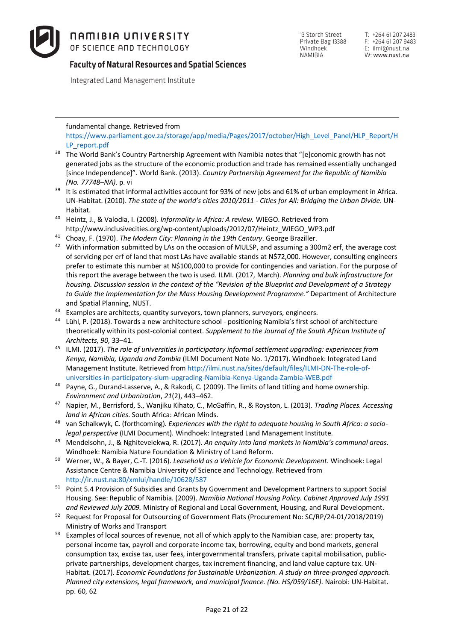**Faculty of Natural Resources and Spatial Sciences**

Integrated Land Management Institute

fundamental change. Retrieved from

 $\overline{a}$ 

https://www.parliament.gov.za/storage/app/media/Pages/2017/october/High\_Level\_Panel/HLP\_Report/H LP\_report.pdf

- <sup>38</sup> The World Bank's Country Partnership Agreement with Namibia notes that "[e]conomic growth has not generated jobs as the structure of the economic production and trade has remained essentially unchanged [since Independence]". World Bank. (2013). *Country Partnership Agreement for the Republic of Namibia (No. 77748–NA)*. p. vi
- <sup>39</sup> It is estimated that informal activities account for 93% of new jobs and 61% of urban employment in Africa. UN-Habitat. (2010). *The state of the world's cities 2010/2011 - Cities for All: Bridging the Urban Divide*. UN-
- Habitat. 40 Heintz, J., & Valodia, I. (2008). *Informality in Africa: A review.* WIEGO. Retrieved from http://www.inclusivecities.org/wp-content/uploads/2012/07/Heintz\_WIEGO\_WP3.pdf
- <sup>41</sup> Choay, F. (1970). *The Modern City: Planning in the 19th Century*. George Braziller.
- <sup>42</sup> With information submitted by LAs on the occasion of MULSP, and assuming a 300m2 erf, the average cost of servicing per erf of land that most LAs have available stands at N\$72,000. However, consulting engineers prefer to estimate this number at N\$100,000 to provide for contingencies and variation. For the purpose of this report the average between the two is used. ILMI. (2017, March). *Planning and bulk infrastructure for housing. Discussion session in the context of the "Revision of the Blueprint and Development of a Strategy to Guide the Implementation for the Mass Housing Development Programme."* Department of Architecture and Spatial Planning, NUST.
- 
- <sup>43</sup> Examples are architects, quantity surveyors, town planners, surveyors, engineers.<br><sup>44</sup> Lühl, P. (2018). Towards a new architecture school positioning Namibia's first school of architecture theoretically within its post-colonial context. *Supplement to the Journal of the South African Institute of Architects*, *90*, 33–41.
- <sup>45</sup> ILMI. (2017). *The role of universities in participatory informal settlement upgrading: experiences from Kenya, Namibia, Uganda and Zambia* (ILMI Document Note No. 1/2017). Windhoek: Integrated Land Management Institute. Retrieved from http://ilmi.nust.na/sites/default/files/ILMI-DN-The-role-ofuniversities-in-participatory-slum-upgrading-Namibia-Kenya-Uganda-Zambia-WEB.pdf
- <sup>46</sup> Payne, G., Durand-Lasserve, A., & Rakodi, C. (2009). The limits of land titling and home ownership. *Environment and Urbanization*, *21*(2), 443–462.
- <sup>47</sup> Napier, M., Berrisford, S., Wanjiku Kihato, C., McGaffin, R., & Royston, L. (2013). *Trading Places. Accessing land in African cities*. South Africa: African Minds.
- <sup>48</sup> van Schalkwyk, C. (forthcoming). *Experiences with the right to adequate housing in South Africa: a sociolegal perspective* (ILMI Document). Windhoek: Integrated Land Management Institute.
- <sup>49</sup> Mendelsohn, J., & Nghitevelekwa, R. (2017). *An enquiry into land markets in Namibia's communal areas*. Windhoek: Namibia Nature Foundation & Ministry of Land Reform.
- <sup>50</sup> Werner, W., & Bayer, C.-T. (2016). *Leasehold as a Vehicle for Economic Development*. Windhoek: Legal Assistance Centre & Namibia University of Science and Technology. Retrieved from http://ir.nust.na:80/xmlui/handle/10628/587
- <sup>51</sup> Point 5.4 Provision of Subsidies and Grants by Government and Development Partners to support Social Housing. See: Republic of Namibia. (2009). *Namibia National Housing Policy. Cabinet Approved July 1991 and Reviewed July 2009.* Ministry of Regional and Local Government, Housing, and Rural Development.
- <sup>52</sup> Request for Proposal for Outsourcing of Government Flats (Procurement No: SC/RP/24-01/2018/2019) Ministry of Works and Transport
- <sup>53</sup> Examples of local sources of revenue, not all of which apply to the Namibian case, are: property tax, personal income tax, payroll and corporate income tax, borrowing, equity and bond markets, general consumption tax, excise tax, user fees, intergovernmental transfers, private capital mobilisation, publicprivate partnerships, development charges, tax increment financing, and land value capture tax. UN-Habitat. (2017). *Economic Foundations for Sustainable Urbanization. A study on three-pronged approach. Planned city extensions, legal framework, and municipal finance. (No. HS/059/16E).* Nairobi: UN-Habitat. pp. 60, 62

13 Storch Street Private Bag 13388 Windhoek<sup>1</sup> NAMIBIA